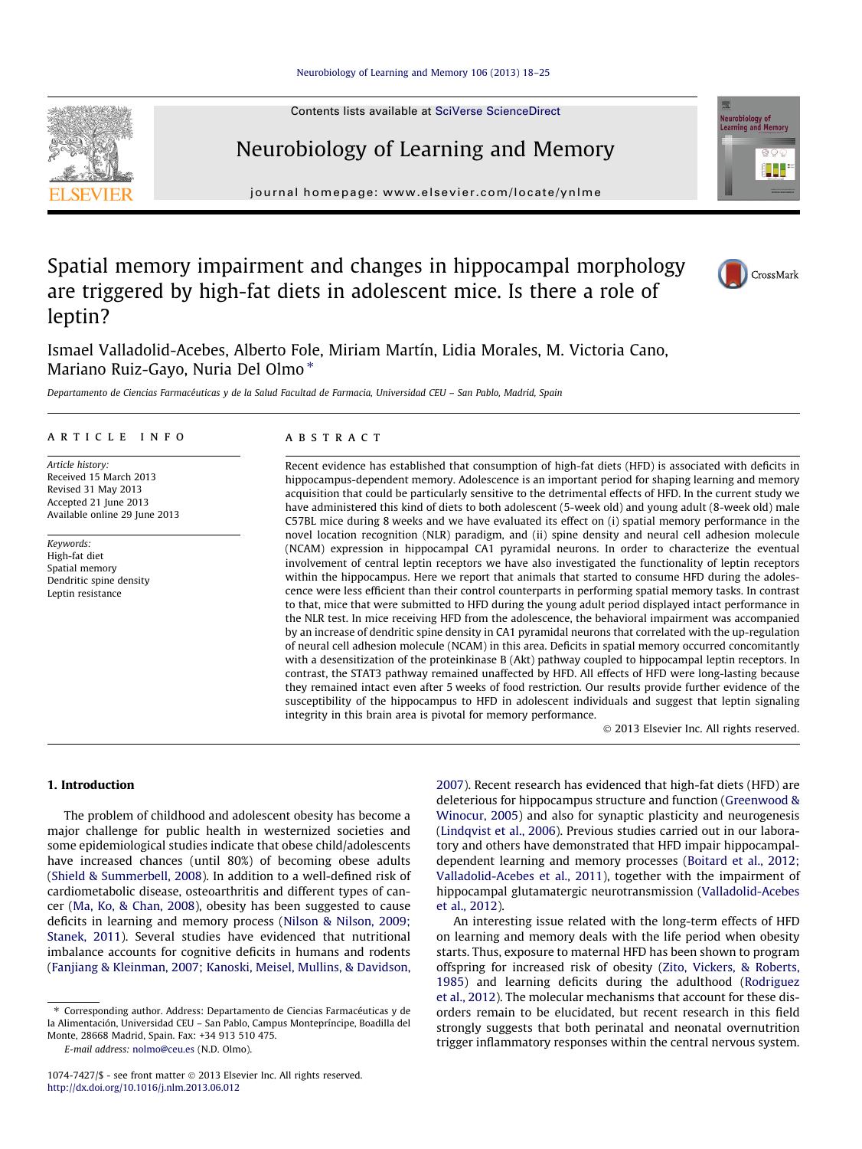Contents lists available at [SciVerse ScienceDirect](http://www.sciencedirect.com/science/journal/10747427)

# Neurobiology of Learning and Memory

journal homepage: [www.elsevier.com/locate/ynlme](http://www.elsevier.com/locate/ynlme)

# Spatial memory impairment and changes in hippocampal morphology are triggered by high-fat diets in adolescent mice. Is there a role of leptin?

Ismael Valladolid-Acebes, Alberto Fole, Miriam Martín, Lidia Morales, M. Victoria Cano, Mariano Ruiz-Gayo, Nuria Del Olmo\*

Departamento de Ciencias Farmacéuticas y de la Salud Facultad de Farmacia, Universidad CEU – San Pablo, Madrid, Spain

# article info

Article history: Received 15 March 2013 Revised 31 May 2013 Accepted 21 June 2013 Available online 29 June 2013

Keywords: High-fat diet Spatial memory Dendritic spine density Leptin resistance

# **ABSTRACT**

Recent evidence has established that consumption of high-fat diets (HFD) is associated with deficits in hippocampus-dependent memory. Adolescence is an important period for shaping learning and memory acquisition that could be particularly sensitive to the detrimental effects of HFD. In the current study we have administered this kind of diets to both adolescent (5-week old) and young adult (8-week old) male C57BL mice during 8 weeks and we have evaluated its effect on (i) spatial memory performance in the novel location recognition (NLR) paradigm, and (ii) spine density and neural cell adhesion molecule (NCAM) expression in hippocampal CA1 pyramidal neurons. In order to characterize the eventual involvement of central leptin receptors we have also investigated the functionality of leptin receptors within the hippocampus. Here we report that animals that started to consume HFD during the adolescence were less efficient than their control counterparts in performing spatial memory tasks. In contrast to that, mice that were submitted to HFD during the young adult period displayed intact performance in the NLR test. In mice receiving HFD from the adolescence, the behavioral impairment was accompanied by an increase of dendritic spine density in CA1 pyramidal neurons that correlated with the up-regulation of neural cell adhesion molecule (NCAM) in this area. Deficits in spatial memory occurred concomitantly with a desensitization of the proteinkinase B (Akt) pathway coupled to hippocampal leptin receptors. In contrast, the STAT3 pathway remained unaffected by HFD. All effects of HFD were long-lasting because they remained intact even after 5 weeks of food restriction. Our results provide further evidence of the susceptibility of the hippocampus to HFD in adolescent individuals and suggest that leptin signaling integrity in this brain area is pivotal for memory performance.

- 2013 Elsevier Inc. All rights reserved.

#### 1. Introduction

The problem of childhood and adolescent obesity has become a major challenge for public health in westernized societies and some epidemiological studies indicate that obese child/adolescents have increased chances (until 80%) of becoming obese adults ([Shield & Summerbell, 2008\)](#page--1-0). In addition to a well-defined risk of cardiometabolic disease, osteoarthritis and different types of cancer ([Ma, Ko, & Chan, 2008\)](#page--1-0), obesity has been suggested to cause deficits in learning and memory process ([Nilson & Nilson, 2009;](#page--1-0) [Stanek, 2011\)](#page--1-0). Several studies have evidenced that nutritional imbalance accounts for cognitive deficits in humans and rodents ([Fanjiang & Kleinman, 2007; Kanoski, Meisel, Mullins, & Davidson,](#page--1-0) [2007\)](#page--1-0). Recent research has evidenced that high-fat diets (HFD) are deleterious for hippocampus structure and function [\(Greenwood &](#page--1-0) [Winocur, 2005](#page--1-0)) and also for synaptic plasticity and neurogenesis ([Lindqvist et al., 2006](#page--1-0)). Previous studies carried out in our laboratory and others have demonstrated that HFD impair hippocampaldependent learning and memory processes [\(Boitard et al., 2012;](#page--1-0) [Valladolid-Acebes et al., 2011\)](#page--1-0), together with the impairment of hippocampal glutamatergic neurotransmission [\(Valladolid-Acebes](#page--1-0) [et al., 2012\)](#page--1-0).

An interesting issue related with the long-term effects of HFD on learning and memory deals with the life period when obesity starts. Thus, exposure to maternal HFD has been shown to program offspring for increased risk of obesity [\(Zito, Vickers, & Roberts,](#page--1-0) [1985\)](#page--1-0) and learning deficits during the adulthood ([Rodriguez](#page--1-0) [et al., 2012\)](#page--1-0). The molecular mechanisms that account for these disorders remain to be elucidated, but recent research in this field strongly suggests that both perinatal and neonatal overnutrition trigger inflammatory responses within the central nervous system.







<sup>⇑</sup> Corresponding author. Address: Departamento de Ciencias Farmacéuticas y de la Alimentación, Universidad CEU – San Pablo, Campus Montepríncipe, Boadilla del Monte, 28668 Madrid, Spain. Fax: +34 913 510 475.

E-mail address: [nolmo@ceu.es](mailto:nolmo@ceu.es) (N.D. Olmo).

<sup>1074-7427/\$ -</sup> see front matter © 2013 Elsevier Inc. All rights reserved. <http://dx.doi.org/10.1016/j.nlm.2013.06.012>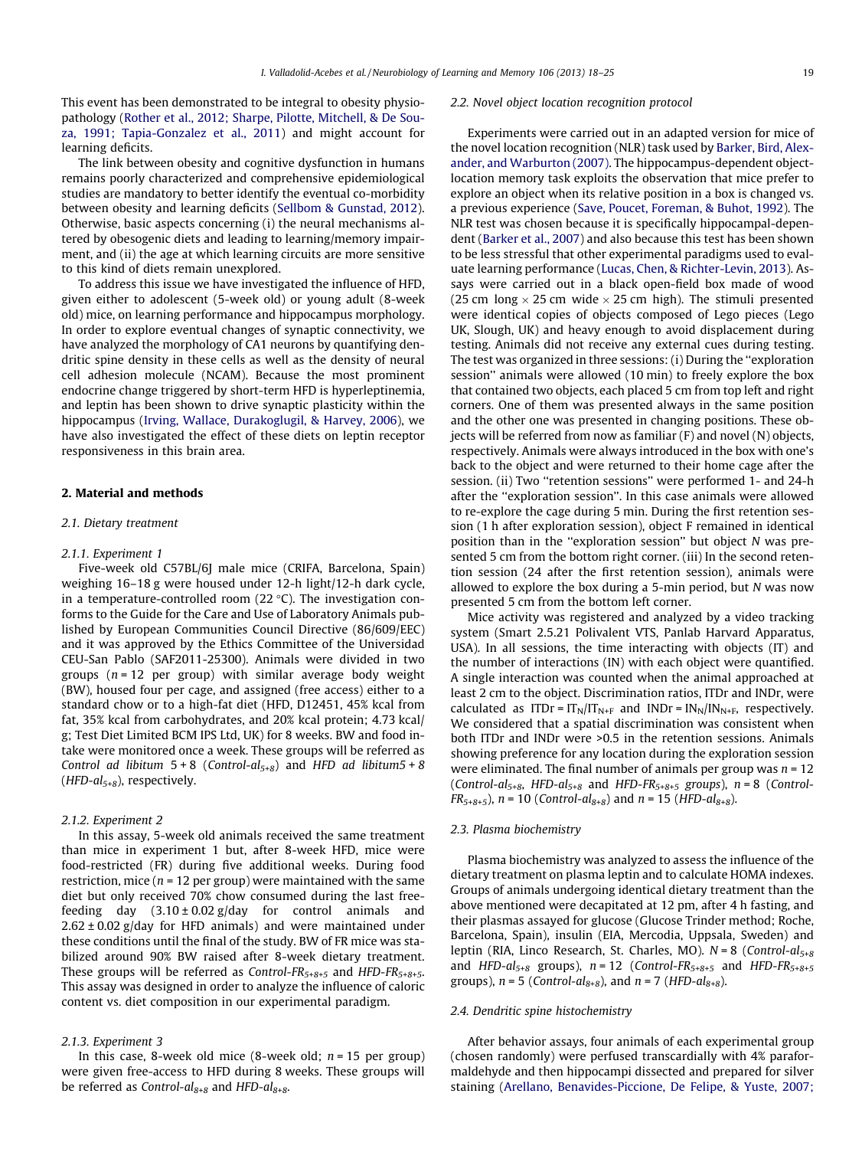This event has been demonstrated to be integral to obesity physiopathology ([Rother et al., 2012; Sharpe, Pilotte, Mitchell, & De Sou](#page--1-0)[za, 1991; Tapia-Gonzalez et al., 2011](#page--1-0)) and might account for learning deficits.

The link between obesity and cognitive dysfunction in humans remains poorly characterized and comprehensive epidemiological studies are mandatory to better identify the eventual co-morbidity between obesity and learning deficits ([Sellbom & Gunstad, 2012\)](#page--1-0). Otherwise, basic aspects concerning (i) the neural mechanisms altered by obesogenic diets and leading to learning/memory impairment, and (ii) the age at which learning circuits are more sensitive to this kind of diets remain unexplored.

To address this issue we have investigated the influence of HFD, given either to adolescent (5-week old) or young adult (8-week old) mice, on learning performance and hippocampus morphology. In order to explore eventual changes of synaptic connectivity, we have analyzed the morphology of CA1 neurons by quantifying dendritic spine density in these cells as well as the density of neural cell adhesion molecule (NCAM). Because the most prominent endocrine change triggered by short-term HFD is hyperleptinemia, and leptin has been shown to drive synaptic plasticity within the hippocampus [\(Irving, Wallace, Durakoglugil, & Harvey, 2006](#page--1-0)), we have also investigated the effect of these diets on leptin receptor responsiveness in this brain area.

#### 2. Material and methods

## 2.1. Dietary treatment

# 2.1.1. Experiment 1

Five-week old C57BL/6J male mice (CRIFA, Barcelona, Spain) weighing 16–18 g were housed under 12-h light/12-h dark cycle, in a temperature-controlled room  $(22 \text{ }^{\circ}C)$ . The investigation conforms to the Guide for the Care and Use of Laboratory Animals published by European Communities Council Directive (86/609/EEC) and it was approved by the Ethics Committee of the Universidad CEU-San Pablo (SAF2011-25300). Animals were divided in two groups ( $n = 12$  per group) with similar average body weight (BW), housed four per cage, and assigned (free access) either to a standard chow or to a high-fat diet (HFD, D12451, 45% kcal from fat, 35% kcal from carbohydrates, and 20% kcal protein; 4.73 kcal/ g; Test Diet Limited BCM IPS Ltd, UK) for 8 weeks. BW and food intake were monitored once a week. These groups will be referred as Control ad libitum  $5+8$  (Control-al<sub>5+8</sub>) and HFD ad libitum5 + 8 (HFD- $al_{5+8}$ ), respectively.

## 2.1.2. Experiment 2

In this assay, 5-week old animals received the same treatment than mice in experiment 1 but, after 8-week HFD, mice were food-restricted (FR) during five additional weeks. During food restriction, mice ( $n = 12$  per group) were maintained with the same diet but only received 70% chow consumed during the last freefeeding day  $(3.10 \pm 0.02 \text{ g/day}$  for control animals and  $2.62 \pm 0.02$  g/day for HFD animals) and were maintained under these conditions until the final of the study. BW of FR mice was stabilized around 90% BW raised after 8-week dietary treatment. These groups will be referred as Control- $FR_{5+8+5}$  and HFD- $FR_{5+8+5}$ . This assay was designed in order to analyze the influence of caloric content vs. diet composition in our experimental paradigm.

## 2.1.3. Experiment 3

In this case, 8-week old mice (8-week old;  $n = 15$  per group) were given free-access to HFD during 8 weeks. These groups will be referred as Control- $al_{8+8}$  and HFD- $al_{8+8}$ .

#### 2.2. Novel object location recognition protocol

Experiments were carried out in an adapted version for mice of the novel location recognition (NLR) task used by [Barker, Bird, Alex](#page--1-0)[ander, and Warburton \(2007\).](#page--1-0) The hippocampus-dependent objectlocation memory task exploits the observation that mice prefer to explore an object when its relative position in a box is changed vs. a previous experience [\(Save, Poucet, Foreman, & Buhot, 1992](#page--1-0)). The NLR test was chosen because it is specifically hippocampal-dependent ([Barker et al., 2007\)](#page--1-0) and also because this test has been shown to be less stressful that other experimental paradigms used to evaluate learning performance ([Lucas, Chen, & Richter-Levin, 2013](#page--1-0)). Assays were carried out in a black open-field box made of wood (25 cm long  $\times$  25 cm wide  $\times$  25 cm high). The stimuli presented were identical copies of objects composed of Lego pieces (Lego UK, Slough, UK) and heavy enough to avoid displacement during testing. Animals did not receive any external cues during testing. The test was organized in three sessions: (i) During the ''exploration session'' animals were allowed (10 min) to freely explore the box that contained two objects, each placed 5 cm from top left and right corners. One of them was presented always in the same position and the other one was presented in changing positions. These objects will be referred from now as familiar (F) and novel (N) objects, respectively. Animals were always introduced in the box with one's back to the object and were returned to their home cage after the session. (ii) Two ''retention sessions'' were performed 1- and 24-h after the "exploration session". In this case animals were allowed to re-explore the cage during 5 min. During the first retention session (1 h after exploration session), object F remained in identical position than in the ''exploration session'' but object N was presented 5 cm from the bottom right corner. (iii) In the second retention session (24 after the first retention session), animals were allowed to explore the box during a 5-min period, but N was now presented 5 cm from the bottom left corner.

Mice activity was registered and analyzed by a video tracking system (Smart 2.5.21 Polivalent VTS, Panlab Harvard Apparatus, USA). In all sessions, the time interacting with objects (IT) and the number of interactions (IN) with each object were quantified. A single interaction was counted when the animal approached at least 2 cm to the object. Discrimination ratios, ITDr and INDr, were calculated as ITDr =  $IT_N/IT_{N+F}$  and INDr =  $IN_N/IN_{N+F}$ , respectively. We considered that a spatial discrimination was consistent when both ITDr and INDr were >0.5 in the retention sessions. Animals showing preference for any location during the exploration session were eliminated. The final number of animals per group was  $n = 12$ (Control-al<sub>5+8</sub>, HFD-al<sub>5+8</sub> and HFD-FR<sub>5+8+5</sub> groups),  $n = 8$  (Control- $FR_{5+8+5}$ ),  $n = 10$  (Control-al<sub>8+8</sub>) and  $n = 15$  (HFD-al<sub>8+8</sub>).

# 2.3. Plasma biochemistry

Plasma biochemistry was analyzed to assess the influence of the dietary treatment on plasma leptin and to calculate HOMA indexes. Groups of animals undergoing identical dietary treatment than the above mentioned were decapitated at 12 pm, after 4 h fasting, and their plasmas assayed for glucose (Glucose Trinder method; Roche, Barcelona, Spain), insulin (EIA, Mercodia, Uppsala, Sweden) and leptin (RIA, Linco Research, St. Charles, MO).  $N = 8$  (Control-al<sub>5+8</sub>) and HFD- $al_{5+8}$  groups),  $n = 12$  (Control-FR<sub>5+8+5</sub> and HFD-FR<sub>5+8+5</sub> groups),  $n = 5$  (Control-al<sub>8+8</sub>), and  $n = 7$  (HFD-al<sub>8+8</sub>).

## 2.4. Dendritic spine histochemistry

After behavior assays, four animals of each experimental group (chosen randomly) were perfused transcardially with 4% paraformaldehyde and then hippocampi dissected and prepared for silver staining [\(Arellano, Benavides-Piccione, De Felipe, & Yuste, 2007;](#page--1-0)